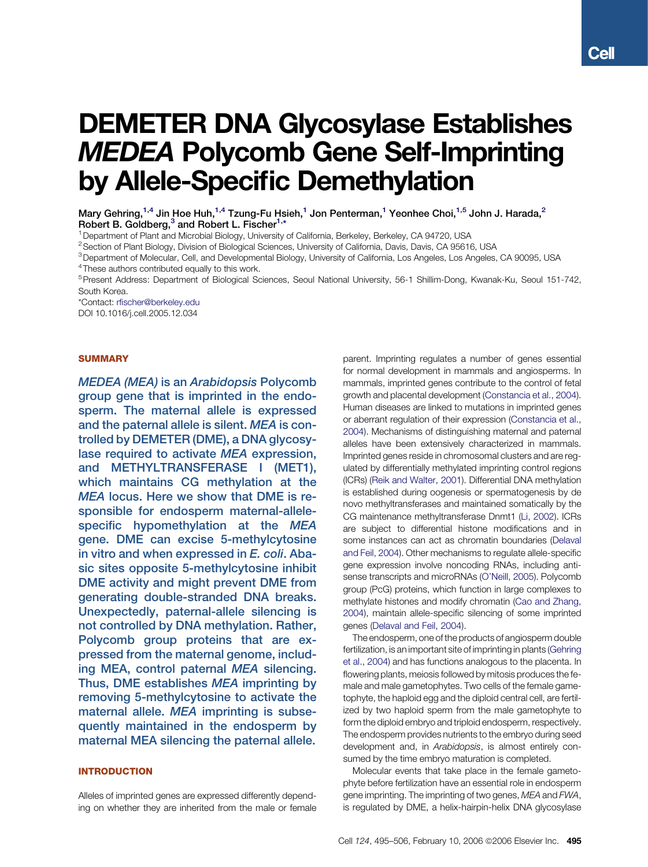# DEMETER DNA Glycosylase Establishes MEDEA Polycomb Gene Self-Imprinting by Allele-Specific Demethylation

1Department of Plant and Microbial Biology, University of California, Berkeley, Berkeley, CA 94720, USA

3Department of Molecular, Cell, and Developmental Biology, University of California, Los Angeles, Los Angeles, CA 90095, USA

<sup>4</sup> These authors contributed equally to this work.

5Present Address: Department of Biological Sciences, Seoul National University, 56-1 Shillim-Dong, Kwanak-Ku, Seoul 151-742, South Korea.

\*Contact: [rfischer@berkeley.edu](mailto:rfischer@berkeley.edu)

DOI 10.1016/j.cell.2005.12.034

### SUMMARY

MEDEA (MEA) is an Arabidopsis Polycomb group gene that is imprinted in the endosperm. The maternal allele is expressed and the paternal allele is silent. MEA is controlled by DEMETER (DME), a DNA glycosylase required to activate MEA expression, and METHYLTRANSFERASE I (MET1), which maintains CG methylation at the MEA locus. Here we show that DME is responsible for endosperm maternal-allelespecific hypomethylation at the MEA gene. DME can excise 5-methylcytosine in vitro and when expressed in E. coli. Abasic sites opposite 5-methylcytosine inhibit DME activity and might prevent DME from generating double-stranded DNA breaks. Unexpectedly, paternal-allele silencing is not controlled by DNA methylation. Rather, Polycomb group proteins that are expressed from the maternal genome, including MEA, control paternal MEA silencing. Thus, DME establishes MEA imprinting by removing 5-methylcytosine to activate the maternal allele. MEA imprinting is subsequently maintained in the endosperm by maternal MEA silencing the paternal allele.

# INTRODUCTION

Alleles of imprinted genes are expressed differently depending on whether they are inherited from the male or female parent. Imprinting regulates a number of genes essential for normal development in mammals and angiosperms. In mammals, imprinted genes contribute to the control of fetal growth and placental development ([Constancia et al., 2004\)](#page-10-0). Human diseases are linked to mutations in imprinted genes or aberrant regulation of their expression [\(Constancia et al.,](#page-10-0) [2004\)](#page-10-0). Mechanisms of distinguishing maternal and paternal alleles have been extensively characterized in mammals. Imprinted genes reside in chromosomal clusters and are regulated by differentially methylated imprinting control regions (ICRs) ([Reik and Walter, 2001\)](#page-11-0). Differential DNA methylation is established during oogenesis or spermatogenesis by de novo methyltransferases and maintained somatically by the CG maintenance methyltransferase Dnmt1 ([Li, 2002](#page-11-0)). ICRs are subject to differential histone modifications and in some instances can act as chromatin boundaries ([Delaval](#page-11-0) [and Feil, 2004](#page-11-0)). Other mechanisms to regulate allele-specific gene expression involve noncoding RNAs, including antisense transcripts and microRNAs [\(O'Neill, 2005](#page-11-0)). Polycomb group (PcG) proteins, which function in large complexes to methylate histones and modify chromatin [\(Cao and Zhang,](#page-10-0) [2004\)](#page-10-0), maintain allele-specific silencing of some imprinted genes [\(Delaval and Feil, 2004\)](#page-11-0).

The endosperm, one of the products of angiosperm double fertilization, is an important site of imprinting in plants [\(Gehring](#page-11-0) [et al., 2004](#page-11-0)) and has functions analogous to the placenta. In flowering plants, meiosis followed by mitosis produces the female and male gametophytes. Two cells of the female gametophyte, the haploid egg and the diploid central cell, are fertilized by two haploid sperm from the male gametophyte to form the diploid embryo and triploid endosperm, respectively. The endosperm provides nutrients to the embryo during seed development and, in Arabidopsis, is almost entirely consumed by the time embryo maturation is completed.

Molecular events that take place in the female gametophyte before fertilization have an essential role in endosperm gene imprinting. The imprinting of two genes, MEA and FWA, is regulated by DME, a helix-hairpin-helix DNA glycosylase

Mary Gehring,<sup>1,4</sup> Jin Hoe Huh,<sup>1,4</sup> Tzung-Fu Hsieh,<sup>1</sup> Jon Penterman,<sup>1</sup> Yeonhee Choi,<sup>1,5</sup> John J. Harada,<sup>2</sup> Robert B. Goldberg,<sup>3</sup> and Robert L. Fischer<sup>1,\*</sup>

<sup>&</sup>lt;sup>2</sup> Section of Plant Biology, Division of Biological Sciences, University of California, Davis, Davis, CA 95616, USA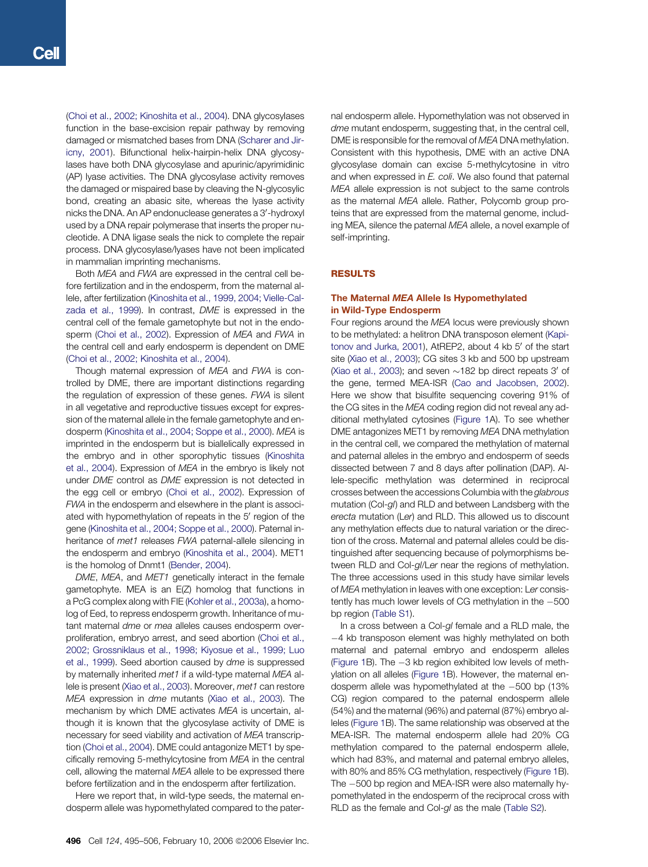([Choi et al., 2002; Kinoshita et al., 2004](#page-10-0)). DNA glycosylases function in the base-excision repair pathway by removing damaged or mismatched bases from DNA ([Scharer and Jir](#page-11-0)[icny, 2001\)](#page-11-0). Bifunctional helix-hairpin-helix DNA glycosylases have both DNA glycosylase and apurinic/apyrimidinic (AP) lyase activities. The DNA glycosylase activity removes the damaged or mispaired base by cleaving the N-glycosylic bond, creating an abasic site, whereas the lyase activity nicks the DNA. An AP endonuclease generates a 3'-hydroxyl used by a DNA repair polymerase that inserts the proper nucleotide. A DNA ligase seals the nick to complete the repair process. DNA glycosylase/lyases have not been implicated in mammalian imprinting mechanisms.

Both MEA and FWA are expressed in the central cell before fertilization and in the endosperm, from the maternal allele, after fertilization ([Kinoshita et al., 1999, 2004; Vielle-Cal](#page-11-0)[zada et al., 1999](#page-11-0)). In contrast, DME is expressed in the central cell of the female gametophyte but not in the endo-sperm ([Choi et al., 2002](#page-10-0)). Expression of MEA and FWA in the central cell and early endosperm is dependent on DME ([Choi et al., 2002; Kinoshita et al., 2004\)](#page-10-0).

Though maternal expression of MEA and FWA is controlled by DME, there are important distinctions regarding the regulation of expression of these genes. FWA is silent in all vegetative and reproductive tissues except for expression of the maternal allele in the female gametophyte and endosperm [\(Kinoshita et al., 2004; Soppe et al., 2000](#page-11-0)). MEA is imprinted in the endosperm but is biallelically expressed in the embryo and in other sporophytic tissues ([Kinoshita](#page-11-0) [et al., 2004\)](#page-11-0). Expression of MEA in the embryo is likely not under DME control as DME expression is not detected in the egg cell or embryo [\(Choi et al., 2002](#page-10-0)). Expression of FWA in the endosperm and elsewhere in the plant is associated with hypomethylation of repeats in the 5' region of the gene ([Kinoshita et al., 2004; Soppe et al., 2000\)](#page-11-0). Paternal inheritance of met1 releases FWA paternal-allele silencing in the endosperm and embryo ([Kinoshita et al., 2004](#page-11-0)). MET1 is the homolog of Dnmt1 [\(Bender, 2004](#page-10-0)).

DME, MEA, and MET1 genetically interact in the female gametophyte. MEA is an E(Z) homolog that functions in a PcG complex along with FIE ([Kohler et al., 2003a\)](#page-11-0), a homolog of Eed, to repress endosperm growth. Inheritance of mutant maternal dme or mea alleles causes endosperm overproliferation, embryo arrest, and seed abortion ([Choi et al.,](#page-10-0) [2002; Grossniklaus et al., 1998; Kiyosue et al., 1999; Luo](#page-10-0) [et al., 1999\)](#page-10-0). Seed abortion caused by dme is suppressed by maternally inherited met1 if a wild-type maternal MEA al-lele is present [\(Xiao et al., 2003](#page-11-0)). Moreover, met1 can restore MEA expression in dme mutants ([Xiao et al., 2003](#page-11-0)). The mechanism by which DME activates MEA is uncertain, although it is known that the glycosylase activity of DME is necessary for seed viability and activation of MEA transcription ([Choi et al., 2004](#page-10-0)). DME could antagonize MET1 by specifically removing 5-methylcytosine from MEA in the central cell, allowing the maternal MEA allele to be expressed there before fertilization and in the endosperm after fertilization.

Here we report that, in wild-type seeds, the maternal endosperm allele was hypomethylated compared to the paternal endosperm allele. Hypomethylation was not observed in dme mutant endosperm, suggesting that, in the central cell, DME is responsible for the removal of MEA DNA methylation. Consistent with this hypothesis, DME with an active DNA glycosylase domain can excise 5-methylcytosine in vitro and when expressed in E. coli. We also found that paternal MEA allele expression is not subject to the same controls as the maternal MEA allele. Rather, Polycomb group proteins that are expressed from the maternal genome, including MEA, silence the paternal MEA allele, a novel example of self-imprinting.

# RESULTS

# The Maternal MEA Allele Is Hypomethylated in Wild-Type Endosperm

Four regions around the MEA locus were previously shown to be methylated: a helitron DNA transposon element ([Kapi](#page-11-0)[tonov and Jurka, 2001](#page-11-0)), AtREP2, about 4 kb 5' of the start site ([Xiao et al., 2003](#page-11-0)); CG sites 3 kb and 500 bp upstream ([Xiao et al., 2003](#page-11-0)); and seven  $\sim$  182 bp direct repeats 3' of the gene, termed MEA-ISR [\(Cao and Jacobsen, 2002\)](#page-10-0). Here we show that bisulfite sequencing covering 91% of the CG sites in the MEA coding region did not reveal any additional methylated cytosines [\(Figure 1](#page-2-0)A). To see whether DME antagonizes MET1 by removing MEA DNA methylation in the central cell, we compared the methylation of maternal and paternal alleles in the embryo and endosperm of seeds dissected between 7 and 8 days after pollination (DAP). Allele-specific methylation was determined in reciprocal crosses between the accessions Columbia with the glabrous mutation (Col-gl) and RLD and between Landsberg with the erecta mutation (Ler) and RLD. This allowed us to discount any methylation effects due to natural variation or the direction of the cross. Maternal and paternal alleles could be distinguished after sequencing because of polymorphisms between RLD and Col-gl/Ler near the regions of methylation. The three accessions used in this study have similar levels of MEA methylation in leaves with one exception: Ler consistently has much lower levels of CG methylation in the -500 bp region ([Table S1](#page-10-0)).

In a cross between a Col-gl female and a RLD male, the -4 kb transposon element was highly methylated on both maternal and paternal embryo and endosperm alleles ([Figure 1B](#page-2-0)). The -3 kb region exhibited low levels of methylation on all alleles ([Figure 1](#page-2-0)B). However, the maternal endosperm allele was hypomethylated at the -500 bp (13% CG) region compared to the paternal endosperm allele (54%) and the maternal (96%) and paternal (87%) embryo alleles ([Figure 1](#page-2-0)B). The same relationship was observed at the MEA-ISR. The maternal endosperm allele had 20% CG methylation compared to the paternal endosperm allele, which had 83%, and maternal and paternal embryo alleles, with 80% and 85% CG methylation, respectively [\(Figure 1B](#page-2-0)). The -500 bp region and MEA-ISR were also maternally hypomethylated in the endosperm of the reciprocal cross with RLD as the female and Col-gl as the male ([Table S2](#page-10-0)).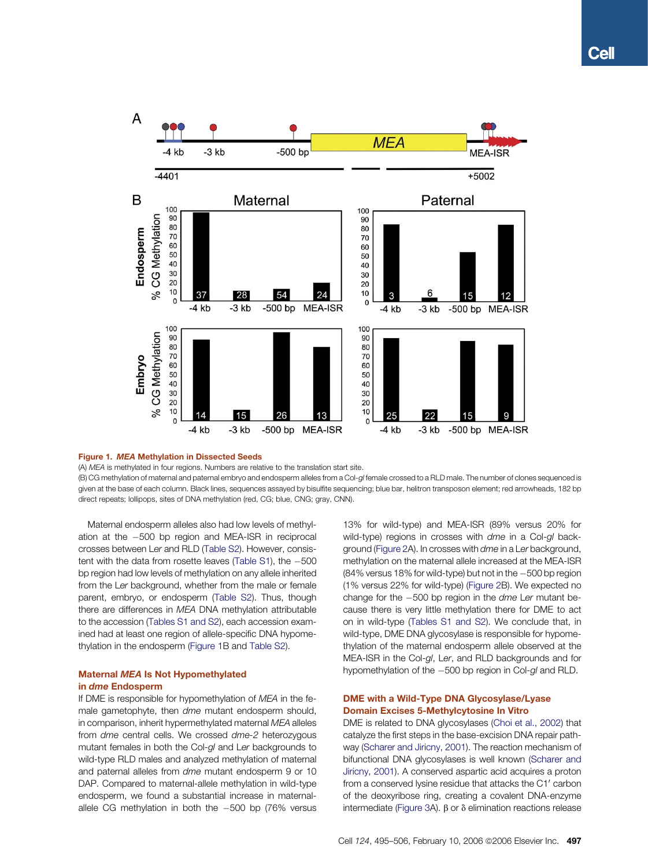<span id="page-2-0"></span>

## Figure 1. MEA Methylation in Dissected Seeds

(A) MEA is methylated in four regions. Numbers are relative to the translation start site.

(B) CG methylation of maternal and paternal embryo and endosperm alleles from a Col-gl female crossed to a RLD male. The number of clones sequenced is given at the base of each column. Black lines, sequences assayed by bisulfite sequencing; blue bar, helitron transposon element; red arrowheads, 182 bp direct repeats; lollipops, sites of DNA methylation (red, CG; blue, CNG; gray, CNN).

Maternal endosperm alleles also had low levels of methylation at the -500 bp region and MEA-ISR in reciprocal crosses between Ler and RLD [\(Table S2](#page-10-0)). However, consistent with the data from rosette leaves ([Table S1](#page-10-0)), the -500 bp region had low levels of methylation on any allele inherited from the Ler background, whether from the male or female parent, embryo, or endosperm ([Table S2\)](#page-10-0). Thus, though there are differences in MEA DNA methylation attributable to the accession [\(Tables S1 and S2\)](#page-10-0), each accession examined had at least one region of allele-specific DNA hypomethylation in the endosperm (Figure 1B and [Table S2\)](#page-10-0).

# Maternal MEA Is Not Hypomethylated in dme Endosperm

If DME is responsible for hypomethylation of MEA in the female gametophyte, then dme mutant endosperm should, in comparison, inherit hypermethylated maternal MEA alleles from dme central cells. We crossed dme-2 heterozygous mutant females in both the Col-gl and Ler backgrounds to wild-type RLD males and analyzed methylation of maternal and paternal alleles from dme mutant endosperm 9 or 10 DAP. Compared to maternal-allele methylation in wild-type endosperm, we found a substantial increase in maternalallele CG methylation in both the -500 bp (76% versus

13% for wild-type) and MEA-ISR (89% versus 20% for wild-type) regions in crosses with dme in a Col-gl background [\(Figure 2](#page-3-0)A). In crosses with dme in a Ler background, methylation on the maternal allele increased at the MEA-ISR (84% versus 18% for wild-type) but not in the  $-500$  bp region (1% versus 22% for wild-type) [\(Figure 2B](#page-3-0)). We expected no change for the -500 bp region in the dme Ler mutant because there is very little methylation there for DME to act on in wild-type ([Tables S1 and S2\)](#page-10-0). We conclude that, in wild-type, DME DNA glycosylase is responsible for hypomethylation of the maternal endosperm allele observed at the MEA-ISR in the Col-gl, Ler, and RLD backgrounds and for hypomethylation of the -500 bp region in Col-gl and RLD.

# DME with a Wild-Type DNA Glycosylase/Lyase Domain Excises 5-Methylcytosine In Vitro

DME is related to DNA glycosylases ([Choi et al., 2002](#page-10-0)) that catalyze the first steps in the base-excision DNA repair pathway [\(Scharer and Jiricny, 2001\)](#page-11-0). The reaction mechanism of bifunctional DNA glycosylases is well known ([Scharer and](#page-11-0) [Jiricny, 2001](#page-11-0)). A conserved aspartic acid acquires a proton from a conserved lysine residue that attacks the C1' carbon of the deoxyribose ring, creating a covalent DNA-enzyme intermediate ([Figure 3](#page-4-0)A).  $\beta$  or  $\delta$  elimination reactions release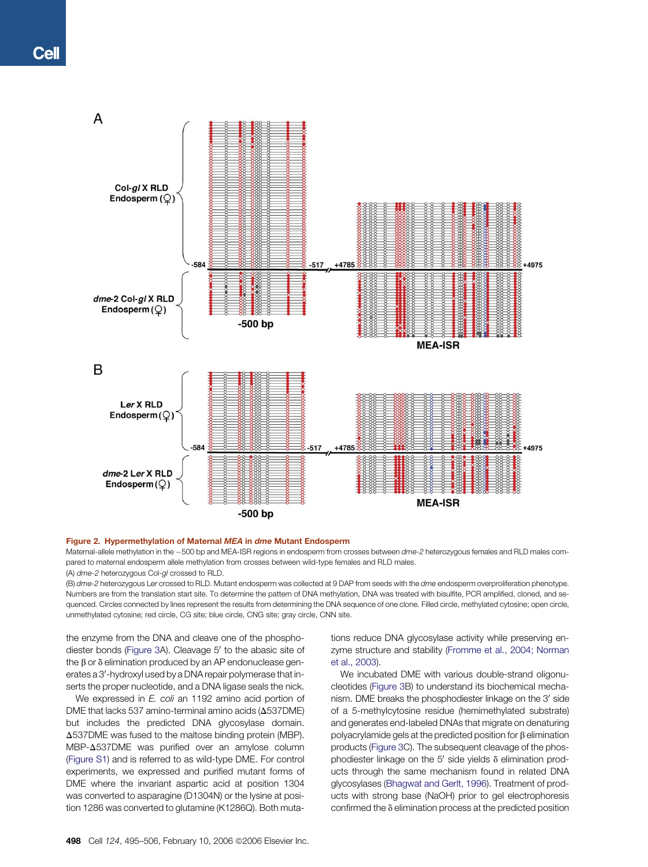<span id="page-3-0"></span>

## Figure 2. Hypermethylation of Maternal MEA in dme Mutant Endosperm

Maternal-allele methylation in the –500 bp and MEA-ISR regions in endosperm from crosses between dme-2 heterozygous females and RLD males compared to maternal endosperm allele methylation from crosses between wild-type females and RLD males. (A) dme-2 heterozygous Col-gl crossed to RLD.

(B) dme-2 heterozygous Ler crossed to RLD. Mutant endosperm was collected at 9 DAP from seeds with the dme endosperm overproliferation phenotype. Numbers are from the translation start site. To determine the pattern of DNA methylation, DNA was treated with bisulfite, PCR amplified, cloned, and sequenced. Circles connected by lines represent the results from determining the DNA sequence of one clone. Filled circle, methylated cytosine; open circle, unmethylated cytosine; red circle, CG site; blue circle, CNG site; gray circle, CNN site.

the enzyme from the DNA and cleave one of the phospho-diester bonds ([Figure 3](#page-4-0)A). Cleavage 5' to the abasic site of the  $\beta$  or  $\delta$  elimination produced by an AP endonuclease generates a 3'-hydroxyl used by a DNA repair polymerase that inserts the proper nucleotide, and a DNA ligase seals the nick.

We expressed in E. coli an 1192 amino acid portion of DME that lacks 537 amino-terminal amino acids ( $\Delta$ 537DME) but includes the predicted DNA glycosylase domain.  $\Delta$ 537DME was fused to the maltose binding protein (MBP). MBP- $\Delta$ 537DME was purified over an amylose column ([Figure S1\)](#page-10-0) and is referred to as wild-type DME. For control experiments, we expressed and purified mutant forms of DME where the invariant aspartic acid at position 1304 was converted to asparagine (D1304N) or the lysine at position 1286 was converted to glutamine (K1286Q). Both mutations reduce DNA glycosylase activity while preserving enzyme structure and stability [\(Fromme et al., 2004; Norman](#page-11-0) [et al., 2003\)](#page-11-0).

We incubated DME with various double-strand oligonucleotides ([Figure 3B](#page-4-0)) to understand its biochemical mechanism. DME breaks the phosphodiester linkage on the 3' side of a 5-methylcytosine residue (hemimethylated substrate) and generates end-labeled DNAs that migrate on denaturing polyacrylamide gels at the predicted position for  $\beta$  elimination products [\(Figure 3](#page-4-0)C). The subsequent cleavage of the phosphodiester linkage on the  $5'$  side yields  $\delta$  elimination products through the same mechanism found in related DNA glycosylases ([Bhagwat and Gerlt, 1996](#page-10-0)). Treatment of products with strong base (NaOH) prior to gel electrophoresis confirmed the  $\delta$  elimination process at the predicted position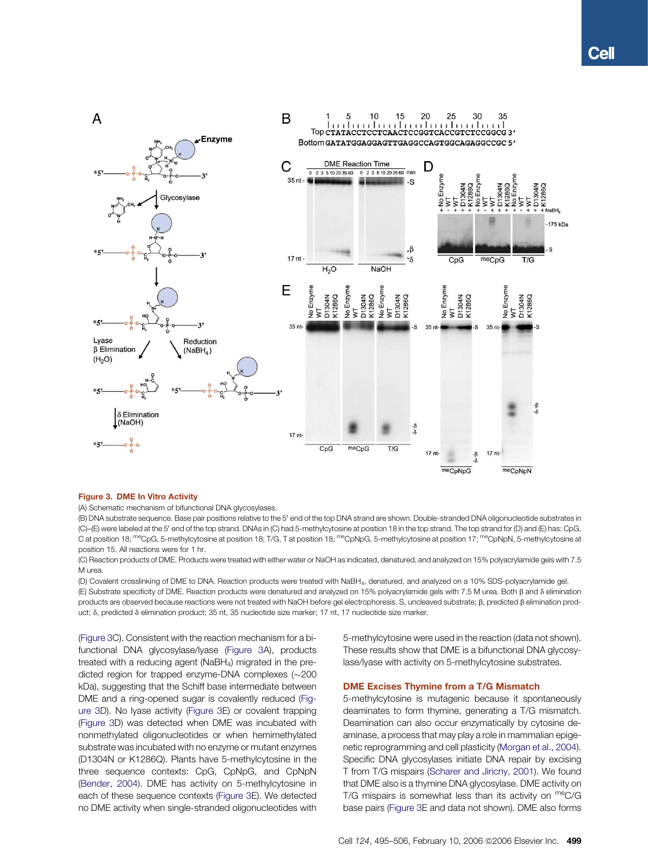<span id="page-4-0"></span>

# Figure 3. DME In Vitro Activity

(A) Schematic mechanism of bifunctional DNA glycosylases.

(B) DNA substrate sequence. Base pair positions relative to the 5' end of the top DNA strand are shown. Double-stranded DNA oligonucleotide substrates in (C)–(E) were labeled at the 5' end of the top strand. DNAs in (C) had 5-methylcytosine at position 18 in the top strand. The top strand for (D) and (E) has: CpG, C at position 18; <sup>me</sup>CpG, 5-methylcytosine at position 18; T/G, T at position 18; <sup>me</sup>CpNpG, 5-methylcytosine at position 17; <sup>me</sup>CpNpN, 5-methylcytosine at position 15. All reactions were for 1 hr.

(C) Reaction products of DME. Products were treated with either water or NaOH as indicated, denatured, and analyzed on 15% polyacrylamide gels with 7.5 M urea.

(D) Covalent crosslinking of DME to DNA. Reaction products were treated with NaBH4, denatured, and analyzed on a 10% SDS-polyacrylamide gel. (E) Substrate specificity of DME. Reaction products were denatured and analyzed on 15% polyacrylamide gels with 7.5 M urea. Both  $\beta$  and  $\delta$  elimination products are observed because reactions were not treated with NaOH before gel electrophoresis. S, uncleaved substrate;  $\beta$ , predicted  $\beta$  elimination product;  $\delta$ , predicted  $\delta$  elimination product; 35 nt, 35 nucleotide size marker; 17 nt, 17 nucleotide size marker.

(Figure 3C). Consistent with the reaction mechanism for a bifunctional DNA glycosylase/lyase (Figure 3A), products treated with a reducing agent (NaBH4) migrated in the predicted region for trapped enzyme-DNA complexes  $(\sim200$ kDa), suggesting that the Schiff base intermediate between DME and a ring-opened sugar is covalently reduced (Figure 3D). No lyase activity (Figure 3E) or covalent trapping (Figure 3D) was detected when DME was incubated with nonmethylated oligonucleotides or when hemimethylated substrate was incubated with no enzyme or mutant enzymes (D1304N or K1286Q). Plants have 5-methylcytosine in the three sequence contexts: CpG, CpNpG, and CpNpN ([Bender, 2004](#page-10-0)). DME has activity on 5-methylcytosine in each of these sequence contexts (Figure 3E). We detected no DME activity when single-stranded oligonucleotides with 5-methylcytosine were used in the reaction (data not shown). These results show that DME is a bifunctional DNA glycosylase/lyase with activity on 5-methylcytosine substrates.

## DME Excises Thymine from a T/G Mismatch

5-methylcytosine is mutagenic because it spontaneously deaminates to form thymine, generating a T/G mismatch. Deamination can also occur enzymatically by cytosine deaminase, a process that may play a role in mammalian epigenetic reprogramming and cell plasticity [\(Morgan et al., 2004\)](#page-11-0). Specific DNA glycosylases initiate DNA repair by excising T from T/G mispairs ([Scharer and Jiricny, 2001](#page-11-0)). We found that DME also is a thymine DNA glycosylase. DME activity on T/G mispairs is somewhat less than its activity on  $meC/G$ base pairs (Figure 3E and data not shown). DME also forms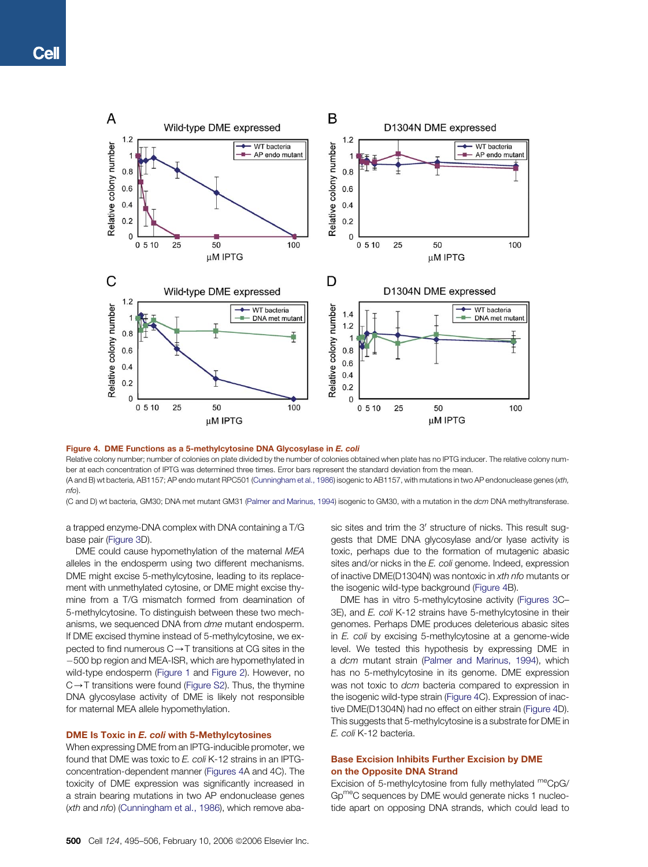<span id="page-5-0"></span>

## Figure 4. DME Functions as a 5-methylcytosine DNA Glycosylase in E. coli

Relative colony number; number of colonies on plate divided by the number of colonies obtained when plate has no IPTG inducer. The relative colony number at each concentration of IPTG was determined three times. Error bars represent the standard deviation from the mean.

(A and B) wt bacteria, AB1157; AP endo mutant RPC501 ([Cunningham et al., 1986](#page-10-0)) isogenic to AB1157, with mutations in two AP endonuclease genes (xth, nfo).

(C and D) wt bacteria, GM30; DNA met mutant GM31 [\(Palmer and Marinus, 1994](#page-11-0)) isogenic to GM30, with a mutation in the dcm DNA methyltransferase.

a trapped enzyme-DNA complex with DNA containing a T/G base pair ([Figure 3](#page-4-0)D).

DME could cause hypomethylation of the maternal MEA alleles in the endosperm using two different mechanisms. DME might excise 5-methylcytosine, leading to its replacement with unmethylated cytosine, or DME might excise thymine from a T/G mismatch formed from deamination of 5-methylcytosine. To distinguish between these two mechanisms, we sequenced DNA from dme mutant endosperm. If DME excised thymine instead of 5-methylcytosine, we expected to find numerous  $C \rightarrow T$  transitions at CG sites in the -500 bp region and MEA-ISR, which are hypomethylated in wild-type endosperm ([Figure 1](#page-2-0) and [Figure 2](#page-3-0)). However, no  $C \rightarrow T$  transitions were found [\(Figure S2\)](#page-10-0). Thus, the thymine DNA glycosylase activity of DME is likely not responsible for maternal MEA allele hypomethylation.

## DME Is Toxic in E. coli with 5-Methylcytosines

When expressing DME from an IPTG-inducible promoter, we found that DME was toxic to E. coli K-12 strains in an IPTGconcentration-dependent manner (Figures 4A and 4C). The toxicity of DME expression was significantly increased in a strain bearing mutations in two AP endonuclease genes (xth and nfo) ([Cunningham et al., 1986](#page-10-0)), which remove abasic sites and trim the 3' structure of nicks. This result suggests that DME DNA glycosylase and/or lyase activity is toxic, perhaps due to the formation of mutagenic abasic sites and/or nicks in the E. coli genome. Indeed, expression of inactive DME(D1304N) was nontoxic in xth nfo mutants or the isogenic wild-type background (Figure 4B).

DME has in vitro 5-methylcytosine activity [\(Figures 3C](#page-4-0)– 3E), and E. coli K-12 strains have 5-methylcytosine in their genomes. Perhaps DME produces deleterious abasic sites in E. coli by excising 5-methylcytosine at a genome-wide level. We tested this hypothesis by expressing DME in a dcm mutant strain ([Palmer and Marinus, 1994](#page-11-0)), which has no 5-methylcytosine in its genome. DME expression was not toxic to dcm bacteria compared to expression in the isogenic wild-type strain (Figure 4C). Expression of inactive DME(D1304N) had no effect on either strain (Figure 4D). This suggests that 5-methylcytosine is a substrate for DME in E. coli K-12 bacteria.

# Base Excision Inhibits Further Excision by DME on the Opposite DNA Strand

Excision of 5-methylcytosine from fully methylated meCpG/ GpmeC sequences by DME would generate nicks 1 nucleotide apart on opposing DNA strands, which could lead to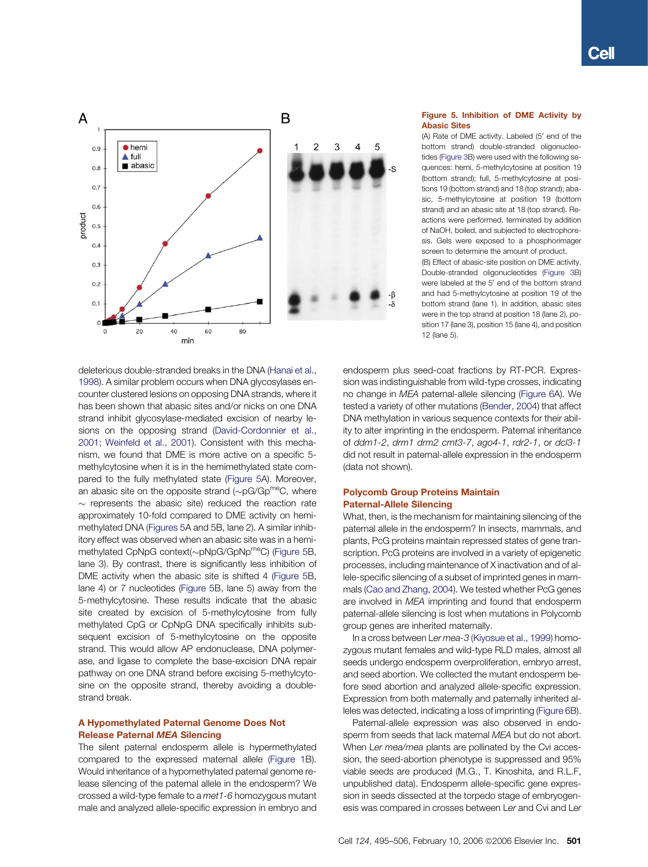<span id="page-6-0"></span>

deleterious double-stranded breaks in the DNA ([Hanai et al.,](#page-11-0) [1998](#page-11-0)). A similar problem occurs when DNA glycosylases encounter clustered lesions on opposing DNA strands, where it has been shown that abasic sites and/or nicks on one DNA strand inhibit glycosylase-mediated excision of nearby lesions on the opposing strand [\(David-Cordonnier et al.,](#page-11-0) [2001; Weinfeld et al., 2001](#page-11-0)). Consistent with this mechanism, we found that DME is more active on a specific 5 methylcytosine when it is in the hemimethylated state compared to the fully methylated state (Figure 5A). Moreover, an abasic site on the opposite strand  $(\sim pG/Gp^{me}C$ , where  $\sim$  represents the abasic site) reduced the reaction rate approximately 10-fold compared to DME activity on hemimethylated DNA (Figures 5A and 5B, lane 2). A similar inhibitory effect was observed when an abasic site was in a hemimethylated CpNpG context(~pNpG/GpNp<sup>me</sup>C) (Figure 5B, lane 3). By contrast, there is significantly less inhibition of DME activity when the abasic site is shifted 4 (Figure 5B, lane 4) or 7 nucleotides (Figure 5B, lane 5) away from the 5-methylcytosine. These results indicate that the abasic site created by excision of 5-methylcytosine from fully methylated CpG or CpNpG DNA specifically inhibits subsequent excision of 5-methylcytosine on the opposite strand. This would allow AP endonuclease, DNA polymerase, and ligase to complete the base-excision DNA repair pathway on one DNA strand before excising 5-methylcytosine on the opposite strand, thereby avoiding a doublestrand break.

# A Hypomethylated Paternal Genome Does Not Release Paternal MEA Silencing

The silent paternal endosperm allele is hypermethylated compared to the expressed maternal allele ([Figure 1B](#page-2-0)). Would inheritance of a hypomethylated paternal genome release silencing of the paternal allele in the endosperm? We crossed a wild-type female to a met1-6 homozygous mutant male and analyzed allele-specific expression in embryo and

## Figure 5. Inhibition of DME Activity by Abasic Sites

(A) Rate of DME activity. Labeled (5' end of the bottom strand) double-stranded oligonucleotides [\(Figure 3](#page-4-0)B) were used with the following sequences: hemi, 5-methylcytosine at position 19 (bottom strand); full, 5-methylcytosine at positions 19 (bottom strand) and 18 (top strand); abasic, 5-methylcytosine at position 19 (bottom strand) and an abasic site at 18 (top strand). Reactions were performed, terminated by addition of NaOH, boiled, and subjected to electrophoresis. Gels were exposed to a phosphorimager screen to determine the amount of product. (B) Effect of abasic-site position on DME activity. Double-stranded oligonucleotides [\(Figure 3B](#page-4-0)) were labeled at the 5' end of the bottom strand and had 5-methylcytosine at position 19 of the bottom strand (lane 1). In addition, abasic sites were in the top strand at position 18 (lane 2), position 17 (lane 3), position 15 (lane 4), and position 12 (lane 5).

endosperm plus seed-coat fractions by RT-PCR. Expression was indistinguishable from wild-type crosses, indicating no change in MEA paternal-allele silencing [\(Figure 6](#page-7-0)A). We tested a variety of other mutations [\(Bender, 2004](#page-10-0)) that affect DNA methylation in various sequence contexts for their ability to alter imprinting in the endosperm. Paternal inheritance of ddm1-2, drm1 drm2 cmt3-7, ago4-1, rdr2-1, or dcl3-1 did not result in paternal-allele expression in the endosperm (data not shown).

## Polycomb Group Proteins Maintain Paternal-Allele Silencing

What, then, is the mechanism for maintaining silencing of the paternal allele in the endosperm? In insects, mammals, and plants, PcG proteins maintain repressed states of gene transcription. PcG proteins are involved in a variety of epigenetic processes, including maintenance of X inactivation and of allele-specific silencing of a subset of imprinted genes in mammals ([Cao and Zhang, 2004](#page-10-0)). We tested whether PcG genes are involved in MEA imprinting and found that endosperm paternal-allele silencing is lost when mutations in Polycomb group genes are inherited maternally.

In a cross between Ler mea-3 [\(Kiyosue et al., 1999](#page-11-0)) homozygous mutant females and wild-type RLD males, almost all seeds undergo endosperm overproliferation, embryo arrest, and seed abortion. We collected the mutant endosperm before seed abortion and analyzed allele-specific expression. Expression from both maternally and paternally inherited alleles was detected, indicating a loss of imprinting [\(Figure 6B](#page-7-0)).

Paternal-allele expression was also observed in endosperm from seeds that lack maternal MEA but do not abort. When Ler mea/mea plants are pollinated by the Cvi accession, the seed-abortion phenotype is suppressed and 95% viable seeds are produced (M.G., T. Kinoshita, and R.L.F, unpublished data). Endosperm allele-specific gene expression in seeds dissected at the torpedo stage of embryogenesis was compared in crosses between Ler and Cvi and Ler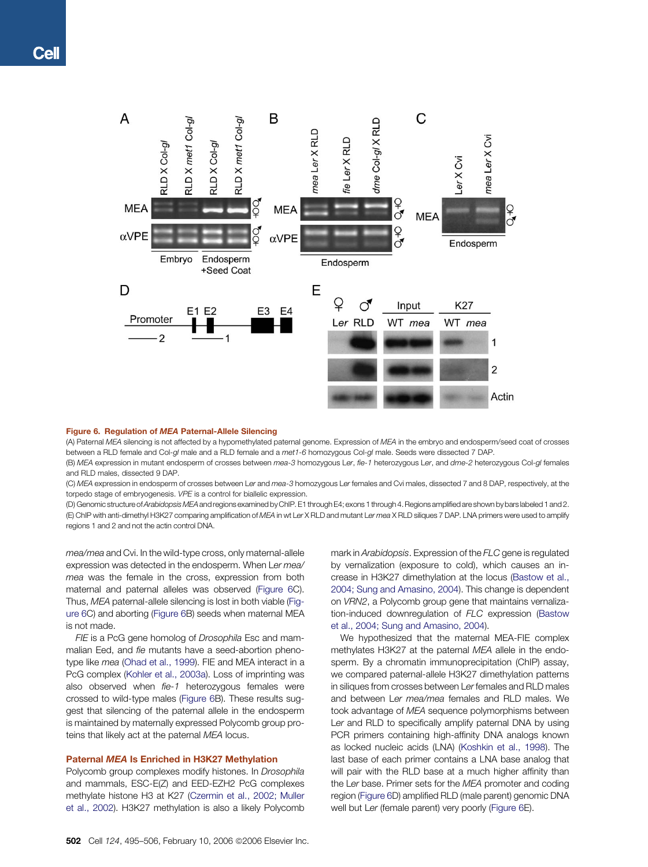<span id="page-7-0"></span>

#### Figure 6. Regulation of MEA Paternal-Allele Silencing

(A) Paternal MEA silencing is not affected by a hypomethylated paternal genome. Expression of MEA in the embryo and endosperm/seed coat of crosses between a RLD female and Col-gl male and a RLD female and a met1-6 homozygous Col-gl male. Seeds were dissected 7 DAP.

(B) MEA expression in mutant endosperm of crosses between mea-3 homozygous Ler, fie-1 heterozygous Ler, and dme-2 heterozygous Col-gl females and RLD males, dissected 9 DAP.

(C) MEA expression in endosperm of crosses between Ler and mea-3 homozygous Ler females and Cvi males, dissected 7 and 8 DAP, respectively, at the torpedo stage of embryogenesis. VPE is a control for biallelic expression.

(D) Genomic structure of Arabidopsis MEA and regions examined by ChIP. E1 through E4; exons 1 through 4. Regions amplified are shown by bars labeled 1 and 2. (E) ChIP with anti-dimethyl H3K27 comparing amplification of MEA in wt Ler X RLD and mutant Ler mea X RLD siliques 7 DAP. LNA primers were used to amplify regions 1 and 2 and not the actin control DNA.

mea/mea and Cvi. In the wild-type cross, only maternal-allele expression was detected in the endosperm. When Ler mea/ mea was the female in the cross, expression from both maternal and paternal alleles was observed (Figure 6C). Thus, MEA paternal-allele silencing is lost in both viable (Figure 6C) and aborting (Figure 6B) seeds when maternal MEA is not made.

FIE is a PcG gene homolog of Drosophila Esc and mammalian Eed, and fie mutants have a seed-abortion phenotype like mea [\(Ohad et al., 1999\)](#page-11-0). FIE and MEA interact in a PcG complex ([Kohler et al., 2003a\)](#page-11-0). Loss of imprinting was also observed when fie-1 heterozygous females were crossed to wild-type males (Figure 6B). These results suggest that silencing of the paternal allele in the endosperm is maintained by maternally expressed Polycomb group proteins that likely act at the paternal MEA locus.

#### Paternal MEA Is Enriched in H3K27 Methylation

Polycomb group complexes modify histones. In Drosophila and mammals, ESC-E(Z) and EED-EZH2 PcG complexes methylate histone H3 at K27 ([Czermin et al., 2002; Muller](#page-10-0) [et al., 2002\)](#page-10-0). H3K27 methylation is also a likely Polycomb mark in Arabidopsis. Expression of the FLC gene is regulated by vernalization (exposure to cold), which causes an increase in H3K27 dimethylation at the locus [\(Bastow et al.,](#page-10-0) [2004; Sung and Amasino, 2004](#page-10-0)). This change is dependent on VRN2, a Polycomb group gene that maintains vernalization-induced downregulation of FLC expression ([Bastow](#page-10-0) [et al., 2004; Sung and Amasino, 2004\)](#page-10-0).

We hypothesized that the maternal MEA-FIE complex methylates H3K27 at the paternal MEA allele in the endosperm. By a chromatin immunoprecipitation (ChIP) assay, we compared paternal-allele H3K27 dimethylation patterns in siliques from crosses between Ler females and RLD males and between Ler mea/mea females and RLD males. We took advantage of MEA sequence polymorphisms between Ler and RLD to specifically amplify paternal DNA by using PCR primers containing high-affinity DNA analogs known as locked nucleic acids (LNA) [\(Koshkin et al., 1998](#page-11-0)). The last base of each primer contains a LNA base analog that will pair with the RLD base at a much higher affinity than the Ler base. Primer sets for the MEA promoter and coding region (Figure 6D) amplified RLD (male parent) genomic DNA well but Ler (female parent) very poorly (Figure 6E).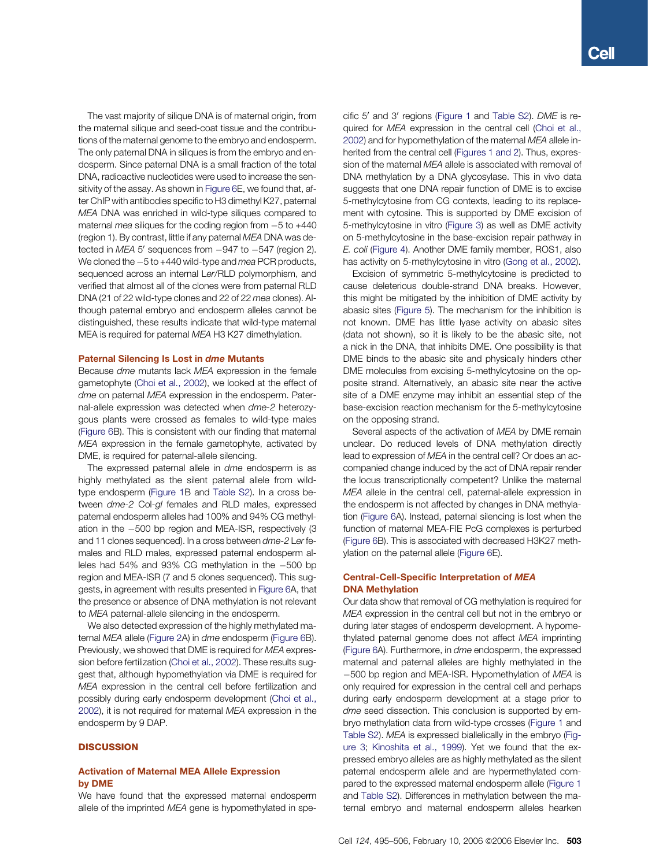The vast majority of silique DNA is of maternal origin, from the maternal silique and seed-coat tissue and the contributions of the maternal genome to the embryo and endosperm. The only paternal DNA in siliques is from the embryo and endosperm. Since paternal DNA is a small fraction of the total DNA, radioactive nucleotides were used to increase the sensitivity of the assay. As shown in [Figure 6](#page-7-0)E, we found that, after ChIP with antibodies specific to H3 dimethyl K27, paternal MEA DNA was enriched in wild-type siliques compared to maternal mea siliques for the coding region from  $-5$  to  $+440$ (region 1). By contrast, little if any paternal MEA DNA was detected in  $MEA 5'$  sequences from  $-947$  to  $-547$  (region 2). We cloned the  $-5$  to +440 wild-type and mea PCR products, sequenced across an internal Ler/RLD polymorphism, and verified that almost all of the clones were from paternal RLD DNA (21 of 22 wild-type clones and 22 of 22 mea clones). Although paternal embryo and endosperm alleles cannot be distinguished, these results indicate that wild-type maternal MEA is required for paternal MEA H3 K27 dimethylation.

## Paternal Silencing Is Lost in dme Mutants

Because dme mutants lack MEA expression in the female gametophyte [\(Choi et al., 2002\)](#page-10-0), we looked at the effect of dme on paternal MEA expression in the endosperm. Paternal-allele expression was detected when dme-2 heterozygous plants were crossed as females to wild-type males ([Figure 6](#page-7-0)B). This is consistent with our finding that maternal MEA expression in the female gametophyte, activated by DME, is required for paternal-allele silencing.

The expressed paternal allele in dme endosperm is as highly methylated as the silent paternal allele from wildtype endosperm [\(Figure 1B](#page-2-0) and [Table S2\)](#page-10-0). In a cross between dme-2 Col-gl females and RLD males, expressed paternal endosperm alleles had 100% and 94% CG methylation in the -500 bp region and MEA-ISR, respectively (3 and 11 clones sequenced). In a cross between dme-2 Ler females and RLD males, expressed paternal endosperm alleles had 54% and 93% CG methylation in the -500 bp region and MEA-ISR (7 and 5 clones sequenced). This suggests, in agreement with results presented in [Figure 6](#page-7-0)A, that the presence or absence of DNA methylation is not relevant to MEA paternal-allele silencing in the endosperm.

We also detected expression of the highly methylated maternal MEA allele ([Figure 2](#page-3-0)A) in dme endosperm ([Figure 6B](#page-7-0)). Previously, we showed that DME is required for MEA expression before fertilization ([Choi et al., 2002](#page-10-0)). These results suggest that, although hypomethylation via DME is required for MEA expression in the central cell before fertilization and possibly during early endosperm development ([Choi et al.,](#page-10-0) [2002](#page-10-0)), it is not required for maternal MEA expression in the endosperm by 9 DAP.

## **DISCUSSION**

## Activation of Maternal MEA Allele Expression by DME

We have found that the expressed maternal endosperm allele of the imprinted MEA gene is hypomethylated in specific 5' and 3' regions [\(Figure 1](#page-2-0) and [Table S2\)](#page-10-0). DME is re-quired for MEA expression in the central cell [\(Choi et al.,](#page-10-0) [2002\)](#page-10-0) and for hypomethylation of the maternal MEA allele inherited from the central cell [\(Figures 1 and 2](#page-2-0)). Thus, expression of the maternal MEA allele is associated with removal of DNA methylation by a DNA glycosylase. This in vivo data suggests that one DNA repair function of DME is to excise 5-methylcytosine from CG contexts, leading to its replacement with cytosine. This is supported by DME excision of 5-methylcytosine in vitro [\(Figure 3](#page-4-0)) as well as DME activity on 5-methylcytosine in the base-excision repair pathway in E. coli [\(Figure 4](#page-5-0)). Another DME family member, ROS1, also has activity on 5-methylcytosine in vitro [\(Gong et al., 2002](#page-11-0)).

Excision of symmetric 5-methylcytosine is predicted to cause deleterious double-strand DNA breaks. However, this might be mitigated by the inhibition of DME activity by abasic sites [\(Figure 5](#page-6-0)). The mechanism for the inhibition is not known. DME has little lyase activity on abasic sites (data not shown), so it is likely to be the abasic site, not a nick in the DNA, that inhibits DME. One possibility is that DME binds to the abasic site and physically hinders other DME molecules from excising 5-methylcytosine on the opposite strand. Alternatively, an abasic site near the active site of a DME enzyme may inhibit an essential step of the base-excision reaction mechanism for the 5-methylcytosine on the opposing strand.

Several aspects of the activation of MEA by DME remain unclear. Do reduced levels of DNA methylation directly lead to expression of MEA in the central cell? Or does an accompanied change induced by the act of DNA repair render the locus transcriptionally competent? Unlike the maternal MEA allele in the central cell, paternal-allele expression in the endosperm is not affected by changes in DNA methylation ([Figure 6A](#page-7-0)). Instead, paternal silencing is lost when the function of maternal MEA-FIE PcG complexes is perturbed ([Figure 6B](#page-7-0)). This is associated with decreased H3K27 methylation on the paternal allele [\(Figure 6E](#page-7-0)).

# Central-Cell-Specific Interpretation of MEA DNA Methylation

Our data show that removal of CG methylation is required for MEA expression in the central cell but not in the embryo or during later stages of endosperm development. A hypomethylated paternal genome does not affect MEA imprinting ([Figure 6A](#page-7-0)). Furthermore, in dme endosperm, the expressed maternal and paternal alleles are highly methylated in the -500 bp region and MEA-ISR. Hypomethylation of MEA is only required for expression in the central cell and perhaps during early endosperm development at a stage prior to dme seed dissection. This conclusion is supported by embryo methylation data from wild-type crosses ([Figure 1](#page-2-0) and [Table S2](#page-10-0)). MEA is expressed biallelically in the embryo [\(Fig](#page-4-0)[ure 3;](#page-4-0) [Kinoshita et al., 1999](#page-11-0)). Yet we found that the expressed embryo alleles are as highly methylated as the silent paternal endosperm allele and are hypermethylated compared to the expressed maternal endosperm allele ([Figure 1](#page-2-0) and [Table S2\)](#page-10-0). Differences in methylation between the maternal embryo and maternal endosperm alleles hearken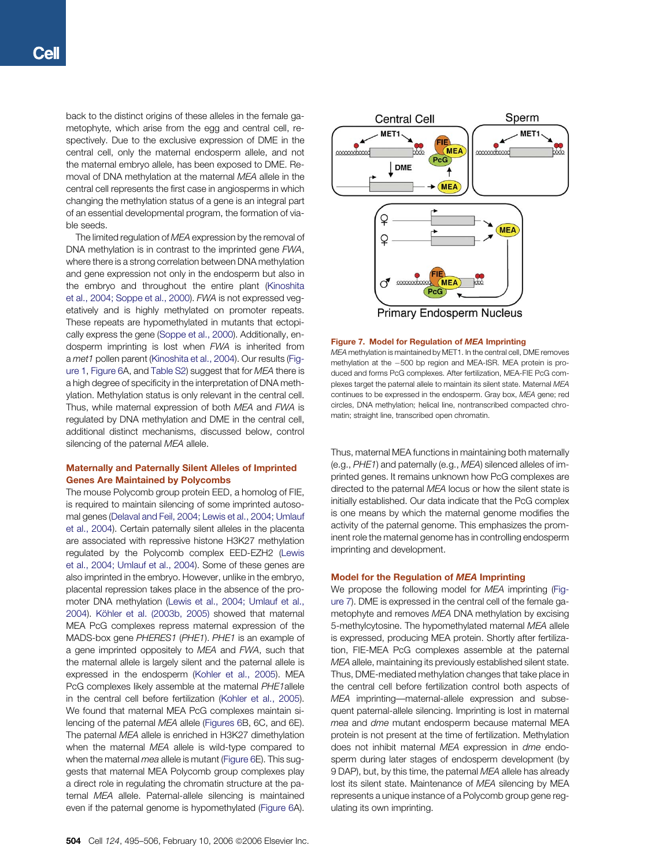back to the distinct origins of these alleles in the female gametophyte, which arise from the egg and central cell, respectively. Due to the exclusive expression of DME in the central cell, only the maternal endosperm allele, and not the maternal embryo allele, has been exposed to DME. Removal of DNA methylation at the maternal MEA allele in the central cell represents the first case in angiosperms in which changing the methylation status of a gene is an integral part of an essential developmental program, the formation of viable seeds.

The limited regulation of MEA expression by the removal of DNA methylation is in contrast to the imprinted gene FWA, where there is a strong correlation between DNA methylation and gene expression not only in the endosperm but also in the embryo and throughout the entire plant ([Kinoshita](#page-11-0) [et al., 2004; Soppe et al., 2000](#page-11-0)). FWA is not expressed vegetatively and is highly methylated on promoter repeats. These repeats are hypomethylated in mutants that ectopically express the gene ([Soppe et al., 2000\)](#page-11-0). Additionally, endosperm imprinting is lost when FWA is inherited from a met1 pollen parent ([Kinoshita et al., 2004\)](#page-11-0). Our results ([Fig](#page-2-0)[ure 1,](#page-2-0) [Figure 6](#page-7-0)A, and [Table S2](#page-10-0)) suggest that for MEA there is a high degree of specificity in the interpretation of DNA methylation. Methylation status is only relevant in the central cell. Thus, while maternal expression of both MEA and FWA is regulated by DNA methylation and DME in the central cell, additional distinct mechanisms, discussed below, control silencing of the paternal MEA allele.

## Maternally and Paternally Silent Alleles of Imprinted Genes Are Maintained by Polycombs

The mouse Polycomb group protein EED, a homolog of FIE, is required to maintain silencing of some imprinted autosomal genes [\(Delaval and Feil, 2004; Lewis et al., 2004; Umlauf](#page-11-0) [et al., 2004](#page-11-0)). Certain paternally silent alleles in the placenta are associated with repressive histone H3K27 methylation regulated by the Polycomb complex EED-EZH2 [\(Lewis](#page-11-0) [et al., 2004; Umlauf et al., 2004\)](#page-11-0). Some of these genes are also imprinted in the embryo. However, unlike in the embryo, placental repression takes place in the absence of the promoter DNA methylation ([Lewis et al., 2004; Umlauf et al.,](#page-11-0) [2004](#page-11-0)). Kö[hler et al. \(2003b, 2005\)](#page-11-0) showed that maternal MEA PcG complexes repress maternal expression of the MADS-box gene PHERES1 (PHE1). PHE1 is an example of a gene imprinted oppositely to MEA and FWA, such that the maternal allele is largely silent and the paternal allele is expressed in the endosperm [\(Kohler et al., 2005\)](#page-11-0). MEA PcG complexes likely assemble at the maternal PHE1 allele in the central cell before fertilization ([Kohler et al., 2005\)](#page-11-0). We found that maternal MEA PcG complexes maintain silencing of the paternal MEA allele [\(Figures 6B](#page-7-0), 6C, and 6E). The paternal MEA allele is enriched in H3K27 dimethylation when the maternal MEA allele is wild-type compared to when the maternal *mea* allele is mutant ([Figure 6E](#page-7-0)). This suggests that maternal MEA Polycomb group complexes play a direct role in regulating the chromatin structure at the paternal MEA allele. Paternal-allele silencing is maintained even if the paternal genome is hypomethylated ([Figure 6](#page-7-0)A).



Figure 7. Model for Regulation of MEA Imprinting

MEA methylation is maintained by MET1. In the central cell, DME removes methylation at the -500 bp region and MEA-ISR. MEA protein is produced and forms PcG complexes. After fertilization, MEA-FIE PcG complexes target the paternal allele to maintain its silent state. Maternal MEA continues to be expressed in the endosperm. Gray box, MEA gene; red circles, DNA methylation; helical line, nontranscribed compacted chromatin; straight line, transcribed open chromatin.

Thus, maternal MEA functions in maintaining both maternally (e.g., PHE1) and paternally (e.g., MEA) silenced alleles of imprinted genes. It remains unknown how PcG complexes are directed to the paternal MEA locus or how the silent state is initially established. Our data indicate that the PcG complex is one means by which the maternal genome modifies the activity of the paternal genome. This emphasizes the prominent role the maternal genome has in controlling endosperm imprinting and development.

## Model for the Regulation of MEA Imprinting

We propose the following model for MEA imprinting (Figure 7). DME is expressed in the central cell of the female gametophyte and removes MEA DNA methylation by excising 5-methylcytosine. The hypomethylated maternal MEA allele is expressed, producing MEA protein. Shortly after fertilization, FIE-MEA PcG complexes assemble at the paternal MEA allele, maintaining its previously established silent state. Thus, DME-mediated methylation changes that take place in the central cell before fertilization control both aspects of MEA imprinting—maternal-allele expression and subsequent paternal-allele silencing. Imprinting is lost in maternal mea and dme mutant endosperm because maternal MEA protein is not present at the time of fertilization. Methylation does not inhibit maternal MEA expression in dme endosperm during later stages of endosperm development (by 9 DAP), but, by this time, the paternal MEA allele has already lost its silent state. Maintenance of MEA silencing by MEA represents a unique instance of a Polycomb group gene regulating its own imprinting.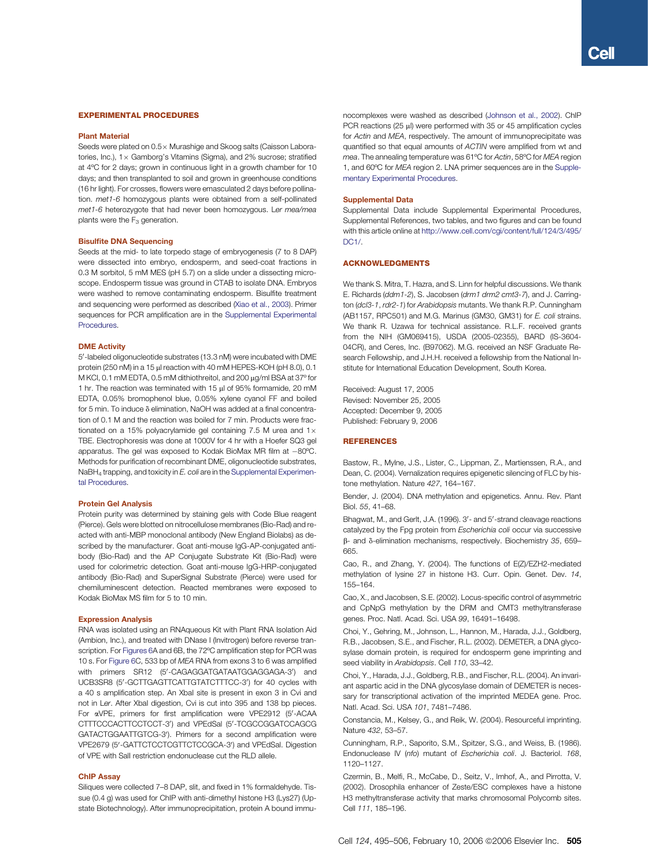#### <span id="page-10-0"></span>EXPERIMENTAL PROCEDURES

#### Plant Material

Seeds were plated on  $0.5 \times$  Murashige and Skoog salts (Caisson Laboratories, Inc.),  $1 \times$  Gamborg's Vitamins (Sigma), and 2% sucrose; stratified at 4ºC for 2 days; grown in continuous light in a growth chamber for 10 days; and then transplanted to soil and grown in greenhouse conditions (16 hr light). For crosses, flowers were emasculated 2 days before pollination. met1-6 homozygous plants were obtained from a self-pollinated met1-6 heterozygote that had never been homozygous. Ler mea/mea plants were the  $F_3$  generation.

#### Bisulfite DNA Sequencing

Seeds at the mid- to late torpedo stage of embryogenesis (7 to 8 DAP) were dissected into embryo, endosperm, and seed-coat fractions in 0.3 M sorbitol, 5 mM MES (pH 5.7) on a slide under a dissecting microscope. Endosperm tissue was ground in CTAB to isolate DNA. Embryos were washed to remove contaminating endosperm. Bisulfite treatment and sequencing were performed as described [\(Xiao et al., 2003\)](#page-11-0). Primer sequences for PCR amplification are in the Supplemental Experimental **Procedures** 

#### DME Activity

5'-labeled oligonucleotide substrates (13.3 nM) were incubated with DME protein (250 nM) in a 15 µl reaction with 40 mM HEPES-KOH (pH 8.0), 0.1 M KCl, 0.1 mM EDTA, 0.5 mM dithiothreitol, and 200 µg/ml BSA at 37° for 1 hr. The reaction was terminated with 15 µl of 95% formamide, 20 mM EDTA, 0.05% bromophenol blue, 0.05% xylene cyanol FF and boiled for 5 min. To induce  $\delta$  elimination, NaOH was added at a final concentration of 0.1 M and the reaction was boiled for 7 min. Products were fractionated on a 15% polyacrylamide gel containing 7.5 M urea and  $1 \times$ TBE. Electrophoresis was done at 1000V for 4 hr with a Hoefer SQ3 gel apparatus. The gel was exposed to Kodak BioMax MR film at  $-80^{\circ}\mathrm{C}$ . Methods for purification of recombinant DME, oligonucleotide substrates, NaBH<sub>4</sub> trapping, and toxicity in E. coli are in the Supplemental Experimental Procedures.

#### Protein Gel Analysis

Protein purity was determined by staining gels with Code Blue reagent (Pierce). Gels were blotted on nitrocellulose membranes (Bio-Rad) and reacted with anti-MBP monoclonal antibody (New England Biolabs) as described by the manufacturer. Goat anti-mouse IgG-AP-conjugated antibody (Bio-Rad) and the AP Conjugate Substrate Kit (Bio-Rad) were used for colorimetric detection. Goat anti-mouse IgG-HRP-conjugated antibody (Bio-Rad) and SuperSignal Substrate (Pierce) were used for chemiluminescent detection. Reacted membranes were exposed to Kodak BioMax MS film for 5 to 10 min.

#### Expression Analysis

RNA was isolated using an RNAqueous Kit with Plant RNA Isolation Aid (Ambion, Inc.), and treated with DNase I (Invitrogen) before reverse transcription. For [Figures 6A](#page-7-0) and 6B, the 72ºC amplification step for PCR was 10 s. For [Figure 6](#page-7-0)C, 533 bp of MEA RNA from exons 3 to 6 was amplified with primers SR12 (5'-CAGAGGATGATAATGGAGGAGA-3') and UCB3SR8 (5'-GCTTGAGTTCATTGTATCTTTCC-3') for 40 cycles with a 40 s amplification step. An XbaI site is present in exon 3 in Cvi and not in Ler. After XbaI digestion, Cvi is cut into 395 and 138 bp pieces. For aVPE, primers for first amplification were VPE2912 (5'-ACAA CTTTCCCACTTCCTCCT-3') and VPEdSal (5'-TCGCCGGATCCAGCG GATACTGGAATTGTCG-3'). Primers for a second amplification were VPE2679 (5'-GATTCTCCTCGTTCTCCGCA-3') and VPEdSal. Digestion of VPE with SalI restriction endonuclease cut the RLD allele.

#### ChIP Assay

Siliques were collected 7–8 DAP, slit, and fixed in 1% formaldehyde. Tissue (0.4 g) was used for ChIP with anti-dimethyl histone H3 (Lys27) (Upstate Biotechnology). After immunoprecipitation, protein A bound immunocomplexes were washed as described [\(Johnson et al., 2002](#page-11-0)). ChIP PCR reactions (25  $\mu$ l) were performed with 35 or 45 amplification cycles for Actin and MEA, respectively. The amount of immunoprecipitate was quantified so that equal amounts of ACTIN were amplified from wt and mea. The annealing temperature was 61ºC for Actin, 58ºC for MEA region 1, and 60ºC for MEA region 2. LNA primer sequences are in the Supplementary Experimental Procedures.

### Supplemental Data

Supplemental Data include Supplemental Experimental Procedures, Supplemental References, two tables, and two figures and can be found with this article online at [http://www.cell.com/cgi/content/full/124/3/495/](http://www.cell.com/cgi/content/full/124/3/495/DC1/) [DC1/.](http://www.cell.com/cgi/content/full/124/3/495/DC1/)

#### ACKNOWLEDGMENTS

We thank S. Mitra, T. Hazra, and S. Linn for helpful discussions. We thank E. Richards (ddm1-2), S. Jacobsen (drm1 drm2 cmt3-7), and J. Carrington (dc/3-1, rdr2-1) for Arabidopsis mutants. We thank R.P. Cunningham (AB1157, RPC501) and M.G. Marinus (GM30, GM31) for E. coli strains. We thank R. Uzawa for technical assistance. R.L.F. received grants from the NIH (GM069415), USDA (2005-02355), BARD (IS-3604- 04CR), and Ceres, Inc. (B97062). M.G. received an NSF Graduate Research Fellowship, and J.H.H. received a fellowship from the National Institute for International Education Development, South Korea.

Received: August 17, 2005 Revised: November 25, 2005 Accepted: December 9, 2005 Published: February 9, 2006

#### **REFERENCES**

Bastow, R., Mylne, J.S., Lister, C., Lippman, Z., Martienssen, R.A., and Dean, C. (2004). Vernalization requires epigenetic silencing of FLC by histone methylation. Nature 427, 164–167.

Bender, J. (2004). DNA methylation and epigenetics. Annu. Rev. Plant Biol. 55, 41–68.

Bhagwat, M., and Gerlt, J.A. (1996). 3'- and 5'-strand cleavage reactions catalyzed by the Fpg protein from Escherichia coli occur via successive  $\beta$ - and  $\delta$ -elimination mechanisms, respectively. Biochemistry 35, 659– 665.

Cao, R., and Zhang, Y. (2004). The functions of E(Z)/EZH2-mediated methylation of lysine 27 in histone H3. Curr. Opin. Genet. Dev. 14, 155–164.

Cao, X., and Jacobsen, S.E. (2002). Locus-specific control of asymmetric and CpNpG methylation by the DRM and CMT3 methyltransferase genes. Proc. Natl. Acad. Sci. USA 99, 16491–16498.

Choi, Y., Gehring, M., Johnson, L., Hannon, M., Harada, J.J., Goldberg, R.B., Jacobsen, S.E., and Fischer, R.L. (2002). DEMETER, a DNA glycosylase domain protein, is required for endosperm gene imprinting and seed viability in Arabidopsis. Cell 110, 33-42.

Choi, Y., Harada, J.J., Goldberg, R.B., and Fischer, R.L. (2004). An invariant aspartic acid in the DNA glycosylase domain of DEMETER is necessary for transcriptional activation of the imprinted MEDEA gene. Proc. Natl. Acad. Sci. USA 101, 7481–7486.

Constancia, M., Kelsey, G., and Reik, W. (2004). Resourceful imprinting. Nature 432, 53–57.

Cunningham, R.P., Saporito, S.M., Spitzer, S.G., and Weiss, B. (1986). Endonuclease IV (nfo) mutant of Escherichia coli. J. Bacteriol. 168, 1120–1127.

Czermin, B., Melfi, R., McCabe, D., Seitz, V., Imhof, A., and Pirrotta, V. (2002). Drosophila enhancer of Zeste/ESC complexes have a histone H3 methyltransferase activity that marks chromosomal Polycomb sites. Cell 111, 185–196.